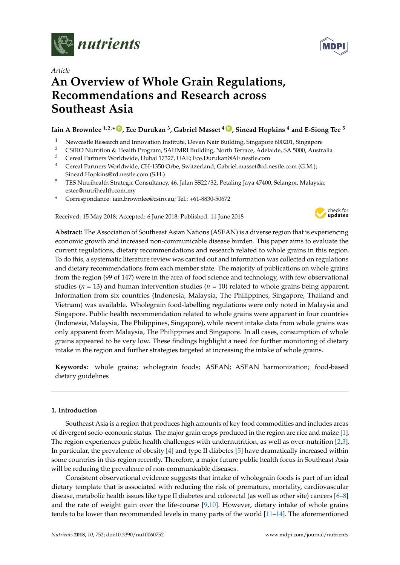



# **An Overview of Whole Grain Regulations, Recommendations and Research across Southeast Asia**

# **Iain A Brownlee 1,2,\* [ID](https://orcid.org/0000-0003-0385-4995) , Ece Durukan <sup>3</sup> , Gabriel Masset <sup>4</sup> [ID](https://orcid.org/0000-0001-6977-0247) , Sinead Hopkins <sup>4</sup> and E-Siong Tee <sup>5</sup>**

- <sup>1</sup> Newcastle Research and Innovation Institute, Devan Nair Building, Singapore 600201, Singapore
- <sup>2</sup> CSIRO Nutrition & Health Program, SAHMRI Building, North Terrace, Adelaide, SA 5000, Australia<sup>3</sup>
- <sup>3</sup> Cereal Partners Worldwide, Dubai 17327, UAE; Ece.Durukan@AE.nestle.com
- <sup>4</sup> Cereal Partners Worldwide, CH-1350 Orbe, Switzerland; Gabriel.masset@rd.nestle.com (G.M.); Sinead.Hopkins@rd.nestle.com (S.H.)
- <sup>5</sup> TES Nutrihealth Strategic Consultancy, 46, Jalan SS22/32, Petaling Jaya 47400, Selangor, Malaysia; estee@nutrihealth.com.my
- **\*** Correspondance: iain.brownlee@csiro.au; Tel.: +61-8830-50672

Received: 15 May 2018; Accepted: 6 June 2018; Published: 11 June 2018



**Abstract:** The Association of Southeast Asian Nations (ASEAN) is a diverse region that is experiencing economic growth and increased non-communicable disease burden. This paper aims to evaluate the current regulations, dietary recommendations and research related to whole grains in this region. To do this, a systematic literature review was carried out and information was collected on regulations and dietary recommendations from each member state. The majority of publications on whole grains from the region (99 of 147) were in the area of food science and technology, with few observational studies ( $n = 13$ ) and human intervention studies ( $n = 10$ ) related to whole grains being apparent. Information from six countries (Indonesia, Malaysia, The Philippines, Singapore, Thailand and Vietnam) was available. Wholegrain food-labelling regulations were only noted in Malaysia and Singapore. Public health recommendation related to whole grains were apparent in four countries (Indonesia, Malaysia, The Philippines, Singapore), while recent intake data from whole grains was only apparent from Malaysia, The Philippines and Singapore. In all cases, consumption of whole grains appeared to be very low. These findings highlight a need for further monitoring of dietary intake in the region and further strategies targeted at increasing the intake of whole grains.

**Keywords:** whole grains; wholegrain foods; ASEAN; ASEAN harmonization; food-based dietary guidelines

## **1. Introduction**

Southeast Asia is a region that produces high amounts of key food commodities and includes areas of divergent socio-economic status. The major grain crops produced in the region are rice and maize [\[1\]](#page-11-0). The region experiences public health challenges with undernutrition, as well as over-nutrition [\[2,](#page-11-1)[3\]](#page-11-2). In particular, the prevalence of obesity [\[4\]](#page-12-0) and type II diabetes [\[5\]](#page-12-1) have dramatically increased within some countries in this region recently. Therefore, a major future public health focus in Southeast Asia will be reducing the prevalence of non-communicable diseases.

Consistent observational evidence suggests that intake of wholegrain foods is part of an ideal dietary template that is associated with reducing the risk of premature, mortality, cardiovascular disease, metabolic health issues like type II diabetes and colorectal (as well as other site) cancers [\[6–](#page-12-2)[8\]](#page-12-3) and the rate of weight gain over the life-course [\[9](#page-12-4)[,10\]](#page-12-5). However, dietary intake of whole grains tends to be lower than recommended levels in many parts of the world [\[11–](#page-12-6)[14\]](#page-12-7). The aforementioned

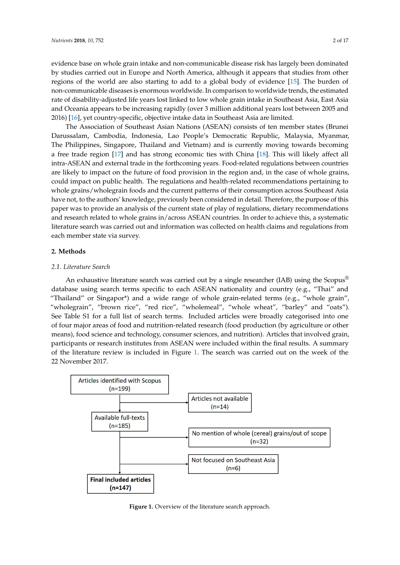evidence base on whole grain intake and non-communicable disease risk has largely been dominated by studies carried out in Europe and North America, although it appears that studies from other regions of the world are also starting to add to a global body of evidence  $[15]$ . The burden of non-communicable diseases is enormous worldwide. In comparison to worldwide trends, the estimated rate of disability-adjusted life years lost linked to low whole grain intake in Southeast Asia, East Asia and Oceania appears to be increasing rapidly (over 3 million additional years lost between 2005 and 2016) [16], yet country-specific, objective intake data in Southeast Asia are limited.

The Association of Southeast Asian Nations (ASEAN) consists of ten member states (Brunei Darussalam, Cambodia, Indonesia, Lao People's Democratic Republic, Malaysia, Myanmar, The Philippines, Singapore, Thailand and Vietnam) and is currently moving towards becoming a free trade region [\[17\]](#page-12-10) and has strong economic ties with China [\[18\]](#page-12-11). This will likely affect all intra-ASEAN and external trade in the forthcoming years. Food-related regulations between countries are likely to impact on the future of food provision in the region and, in the case of whole grains, could impact on public health. The regulations and health-related recommendations pertaining to whole grains/wholegrain foods and the current patterns of their consumption across Southeast Asia have not, to the authors' knowledge, previously been considered in detail. Therefore, the purpose of this paper was to provide an analysis of the current state of play of regulations, dietary recommendations and research related to whole grains in/across ASEAN countries. In order to achieve this, a systematic literature search was carried out and information was collected on health claims and regulations from each member state via survey.  $\alpha$  and  $\alpha$   $\beta$  and the strong economic the WHI Cama  $\beta$ . The WHI fixery drive and benefit relations on the grains information was concerted on health change and regulations. literature search was carried out and information was collected on health claims and regulations from

#### **2. Methods** each member state via survey.

# 2.1. Literature Search

An exhaustive literature search was carried out by a single researcher (IAB) using the Scopus® *2.1. Literature Search*  database using search terms specific to each ASEAN nationality and country (e.g., "Thai" and "Thailand" or Singapor\*) and a wide range of whole grain-related terms (e.g., "whole grain", "wholegrain", "brown rice", "red rice", "wholemeal", "whole wheat", "barley" and "oats"). See Table S1 for a full list of search terms. Included articles were broadly categorised into one of four major areas of food and nutrition-related research (food production (by agriculture or other means), food science and technology, consumer sciences, and nutrition). Articles that involved grain, participants or research institutes from ASEAN were included within the final results. A summary of the literature review is included in Figure [1.](#page-1-0) The search was carried out on the week of the 22 November 2017. November 2017. participants or research institutes from ASEAN were included within the final results. A summary

<span id="page-1-0"></span>

**Figure 1.** Overview of the literature search approach. **Figure 1.** Overview of the literature search approach.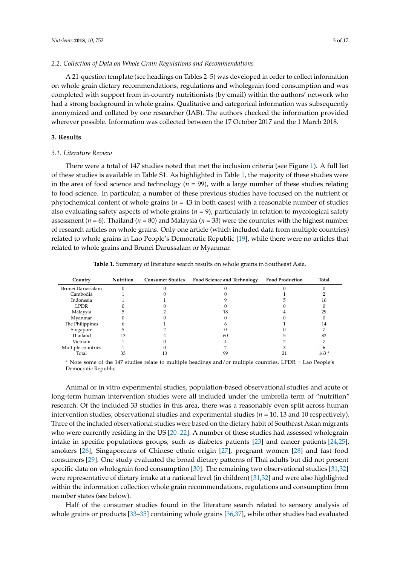#### *2.2. Collection of Data on Whole Grain Regulations and Recommendations*

A 21-question template (see headings on Tables 2–5) was developed in order to collect information on whole grain dietary recommendations, regulations and wholegrain food consumption and was completed with support from in-country nutritionists (by email) within the authors' network who had a strong background in whole grains. Qualitative and categorical information was subsequently anonymized and collated by one researcher (IAB). The authors checked the information provided wherever possible. Information was collected between the 17 October 2017 and the 1 March 2018.

#### **3. Results**

#### *3.1. Literature Review*

There were a total of 147 studies noted that met the inclusion criteria (see Figure [1\)](#page-1-0). A full list of these studies is available in Table S1. As highlighted in Table [1,](#page-2-0) the majority of these studies were in the area of food science and technology ( $n = 99$ ), with a large number of these studies relating to food science. In particular, a number of these previous studies have focused on the nutrient or phytochemical content of whole grains (*n* = 43 in both cases) with a reasonable number of studies also evaluating safety aspects of whole grains (*n* = 9), particularly in relation to mycological safety assessment (*n* = 6). Thailand (*n* = 80) and Malaysia (*n* = 33) were the countries with the highest number of research articles on whole grains. Only one article (which included data from multiple countries) related to whole grains in Lao People's Democratic Republic [\[19\]](#page-12-12), while there were no articles that related to whole grains and Brunei Darussalam or Myanmar.

**Table 1.** Summary of literature search results on whole grains in Southeast Asia.

<span id="page-2-0"></span>

| Country            | Nutrition | <b>Consumer Studies</b> | <b>Food Science and Technology</b> | <b>Food Production</b> | Total  |
|--------------------|-----------|-------------------------|------------------------------------|------------------------|--------|
| Brunei Darussalam  |           |                         |                                    |                        |        |
| Cambodia           |           |                         |                                    |                        |        |
| Indonesia          |           |                         |                                    |                        | 16     |
| <b>LPDR</b>        |           |                         |                                    |                        |        |
| Malaysia           |           |                         | 18                                 |                        | 29     |
| Myanmar            |           |                         |                                    |                        |        |
| The Philippines    |           |                         |                                    |                        | 14     |
| Singapore          |           |                         |                                    |                        |        |
| Thailand           |           |                         | 60                                 |                        | 82     |
| Vietnam            |           |                         |                                    |                        |        |
| Multiple countries |           |                         |                                    |                        |        |
| Total              | 33        |                         | 99                                 |                        | $163*$ |

\* Note some of the 147 studies relate to multiple headings and/or multiple countries. LPDR = Lao People's Democratic Republic.

Animal or in vitro experimental studies, population-based observational studies and acute or long-term human intervention studies were all included under the umbrella term of "nutrition" research. Of the included 33 studies in this area, there was a reasonably even split across human intervention studies, observational studies and experimental studies (*n* = 10, 13 and 10 respectively). Three of the included observational studies were based on the dietary habit of Southeast Asian migrants who were currently residing in the US [\[20](#page-12-13)[–22\]](#page-12-14). A number of these studies had assessed wholegrain intake in specific populations groups, such as diabetes patients [\[23\]](#page-12-15) and cancer patients [\[24,](#page-13-0)[25\]](#page-13-1), smokers [\[26\]](#page-13-2), Singaporeans of Chinese ethnic origin [\[27\]](#page-13-3), pregnant women [\[28\]](#page-13-4) and fast food consumers [\[29\]](#page-13-5). One study evaluated the broad dietary patterns of Thai adults but did not present specific data on wholegrain food consumption [\[30\]](#page-13-6). The remaining two observational studies [\[31](#page-13-7)[,32\]](#page-13-8) were representative of dietary intake at a national level (in children) [\[31,](#page-13-7)[32\]](#page-13-8) and were also highlighted within the information collection whole grain recommendations, regulations and consumption from member states (see below).

Half of the consumer studies found in the literature search related to sensory analysis of whole grains or products [\[33](#page-13-9)[–35\]](#page-13-10) containing whole grains [\[36,](#page-13-11)[37\]](#page-13-12), while other studies had evaluated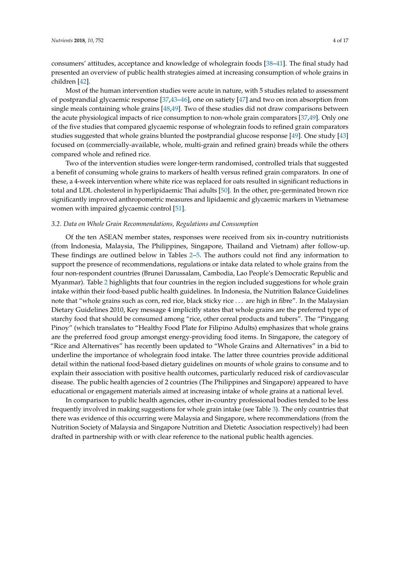consumers' attitudes, acceptance and knowledge of wholegrain foods [\[38](#page-13-13)[–41\]](#page-13-14). The final study had presented an overview of public health strategies aimed at increasing consumption of whole grains in children [\[42\]](#page-13-15).

Most of the human intervention studies were acute in nature, with 5 studies related to assessment of postprandial glycaemic response [\[37](#page-13-12)[,43](#page-14-0)[–46\]](#page-14-1), one on satiety [\[47\]](#page-14-2) and two on iron absorption from single meals containing whole grains [\[48](#page-14-3)[,49\]](#page-14-4). Two of these studies did not draw comparisons between the acute physiological impacts of rice consumption to non-whole grain comparators [\[37](#page-13-12)[,49\]](#page-14-4). Only one of the five studies that compared glycaemic response of wholegrain foods to refined grain comparators studies suggested that whole grains blunted the postprandial glucose response [\[49\]](#page-14-4). One study [\[43\]](#page-14-0) focused on (commercially-available, whole, multi-grain and refined grain) breads while the others compared whole and refined rice.

Two of the intervention studies were longer-term randomised, controlled trials that suggested a benefit of consuming whole grains to markers of health versus refined grain comparators. In one of these, a 4-week intervention where white rice was replaced for oats resulted in significant reductions in total and LDL cholesterol in hyperlipidaemic Thai adults [\[50\]](#page-14-5). In the other, pre-germinated brown rice significantly improved anthropometric measures and lipidaemic and glycaemic markers in Vietnamese women with impaired glycaemic control [\[51\]](#page-14-6).

#### *3.2. Data on Whole Grain Recommendations, Regulations and Consumption*

Of the ten ASEAN member states, responses were received from six in-country nutritionists (from Indonesia, Malaysia, The Philippines, Singapore, Thailand and Vietnam) after follow-up. These findings are outlined below in Tables [2](#page-4-0)[–5.](#page-8-0) The authors could not find any information to support the presence of recommendations, regulations or intake data related to whole grains from the four non-respondent countries (Brunei Darussalam, Cambodia, Lao People's Democratic Republic and Myanmar). Table [2](#page-4-0) highlights that four countries in the region included suggestions for whole grain intake within their food-based public health guidelines. In Indonesia, the Nutrition Balance Guidelines note that "whole grains such as corn, red rice, black sticky rice . . . are high in fibre". In the Malaysian Dietary Guidelines 2010, Key message 4 implicitly states that whole grains are the preferred type of starchy food that should be consumed among "rice, other cereal products and tubers". The "Pinggang Pinoy" (which translates to "Healthy Food Plate for Filipino Adults) emphasizes that whole grains are the preferred food group amongst energy-providing food items. In Singapore, the category of "Rice and Alternatives" has recently been updated to "Whole Grains and Alternatives" in a bid to underline the importance of wholegrain food intake. The latter three countries provide additional detail within the national food-based dietary guidelines on mounts of whole grains to consume and to explain their association with positive health outcomes, particularly reduced risk of cardiovascular disease. The public health agencies of 2 countries (The Philippines and Singapore) appeared to have educational or engagement materials aimed at increasing intake of whole grains at a national level.

In comparison to public health agencies, other in-country professional bodies tended to be less frequently involved in making suggestions for whole grain intake (see Table [3\)](#page-4-1). The only countries that there was evidence of this occurring were Malaysia and Singapore, where recommendations (from the Nutrition Society of Malaysia and Singapore Nutrition and Dietetic Association respectively) had been drafted in partnership with or with clear reference to the national public health agencies.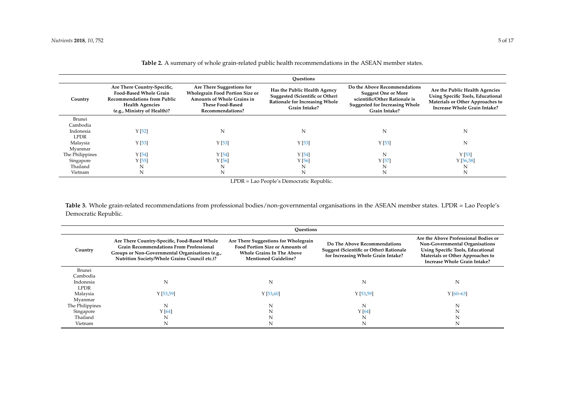|                 | Ouestions                                                                                                                                                   |                                                                                                                                                         |                                                                                                                                  |                                                                                                                                                       |                                                                                                                                                |  |
|-----------------|-------------------------------------------------------------------------------------------------------------------------------------------------------------|---------------------------------------------------------------------------------------------------------------------------------------------------------|----------------------------------------------------------------------------------------------------------------------------------|-------------------------------------------------------------------------------------------------------------------------------------------------------|------------------------------------------------------------------------------------------------------------------------------------------------|--|
| Country         | Are There Country-Specific,<br><b>Food-Based Whole Grain</b><br><b>Recommendations from Public</b><br><b>Health Agencies</b><br>(e.g., Ministry of Health)? | Are There Suggestions for<br><b>Wholegrain Food Portion Size or</b><br><b>Amounts of Whole Grains in</b><br><b>These Food-Based</b><br>Recommendations? | Has the Public Health Agency<br><b>Suggested (Scientific or Other)</b><br><b>Rationale for Increasing Whole</b><br>Grain Intake? | Do the Above Recommendations<br><b>Suggest One or More</b><br>scientific/Other Rationale is<br><b>Suggested for Increasing Whole</b><br>Grain Intake? | Are the Public Health Agencies<br><b>Using Specific Tools, Educational</b><br>Materials or Other Approaches to<br>Increase Whole Grain Intake? |  |
| Brunei          |                                                                                                                                                             |                                                                                                                                                         |                                                                                                                                  |                                                                                                                                                       |                                                                                                                                                |  |
| Cambodia        |                                                                                                                                                             |                                                                                                                                                         |                                                                                                                                  |                                                                                                                                                       |                                                                                                                                                |  |
| Indonesia       | Y[52]                                                                                                                                                       | N                                                                                                                                                       | N                                                                                                                                | N                                                                                                                                                     | N                                                                                                                                              |  |
| <b>LPDR</b>     |                                                                                                                                                             |                                                                                                                                                         |                                                                                                                                  |                                                                                                                                                       |                                                                                                                                                |  |
| Malaysia        | Y[53]                                                                                                                                                       | $Y$ [53]                                                                                                                                                | Y[53]                                                                                                                            | Y[53]                                                                                                                                                 | N                                                                                                                                              |  |
| Myanmar         |                                                                                                                                                             |                                                                                                                                                         |                                                                                                                                  |                                                                                                                                                       |                                                                                                                                                |  |
| The Philippines | Y [54]                                                                                                                                                      | Y [54]                                                                                                                                                  | Y[54]                                                                                                                            | N                                                                                                                                                     | Y[53]                                                                                                                                          |  |
| Singapore       | Y[55]                                                                                                                                                       | Y [56]                                                                                                                                                  | Y[56]                                                                                                                            | Y[57]                                                                                                                                                 | Y[56,58]                                                                                                                                       |  |
| Thailand        | N                                                                                                                                                           | N                                                                                                                                                       | N                                                                                                                                | N                                                                                                                                                     | N                                                                                                                                              |  |
| Vietnam         | N                                                                                                                                                           | N                                                                                                                                                       |                                                                                                                                  | N                                                                                                                                                     | N                                                                                                                                              |  |

**Table 2.** A summary of whole grain-related public health recommendations in the ASEAN member states.

LPDR = Lao People's Democratic Republic.

Table 3. Whole grain-related recommendations from professional bodies/non-governmental organisations in the ASEAN member states. LPDR = Lao People's Democratic Republic.

<span id="page-4-1"></span><span id="page-4-0"></span>

|                 | Ouestions                                                                                                                                                                                          |                                                                                                                                                   |                                                                                                                      |                                                                                                                                                                                        |  |  |
|-----------------|----------------------------------------------------------------------------------------------------------------------------------------------------------------------------------------------------|---------------------------------------------------------------------------------------------------------------------------------------------------|----------------------------------------------------------------------------------------------------------------------|----------------------------------------------------------------------------------------------------------------------------------------------------------------------------------------|--|--|
| Country         | Are There Country-Specific, Food-Based Whole<br><b>Grain Recommendations From Professional</b><br>Groups or Non-Governmental Organisations (e.g.,<br>Nutrition Society/Whole Grains Council etc.)? | Are There Suggestions for Wholegrain<br><b>Food Portion Size or Amounts of</b><br><b>Whole Grains In The Above</b><br><b>Mentioned Guideline?</b> | Do The Above Recommendations<br><b>Suggest (Scientific or Other) Rationale</b><br>for Increasing Whole Grain Intake? | Are the Above Professional Bodies or<br>Non-Governmental Organisations<br><b>Using Specific Tools, Educational</b><br>Materials or Other Approaches to<br>Increase Whole Grain Intake? |  |  |
| Brunei          |                                                                                                                                                                                                    |                                                                                                                                                   |                                                                                                                      |                                                                                                                                                                                        |  |  |
| Cambodia        |                                                                                                                                                                                                    |                                                                                                                                                   |                                                                                                                      |                                                                                                                                                                                        |  |  |
| Indonesia       | N                                                                                                                                                                                                  | N                                                                                                                                                 | N                                                                                                                    | N                                                                                                                                                                                      |  |  |
| <b>LPDR</b>     |                                                                                                                                                                                                    |                                                                                                                                                   |                                                                                                                      |                                                                                                                                                                                        |  |  |
| Malaysia        | Y[53,59]                                                                                                                                                                                           | Y[53,60]                                                                                                                                          | Y[53,59]                                                                                                             | $Y[60-63]$                                                                                                                                                                             |  |  |
| Myanmar         |                                                                                                                                                                                                    |                                                                                                                                                   |                                                                                                                      |                                                                                                                                                                                        |  |  |
| The Philippines | N                                                                                                                                                                                                  | N                                                                                                                                                 | N                                                                                                                    | N                                                                                                                                                                                      |  |  |
| Singapore       | Y[64]                                                                                                                                                                                              |                                                                                                                                                   | Y[64]                                                                                                                |                                                                                                                                                                                        |  |  |
| Thailand        | N                                                                                                                                                                                                  |                                                                                                                                                   |                                                                                                                      |                                                                                                                                                                                        |  |  |
| Vietnam         | N                                                                                                                                                                                                  |                                                                                                                                                   |                                                                                                                      |                                                                                                                                                                                        |  |  |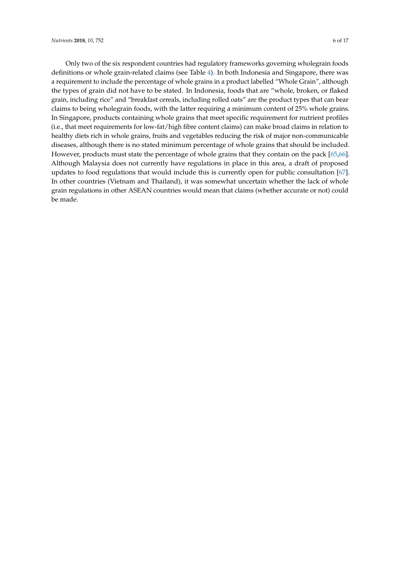Only two of the six respondent countries had regulatory frameworks governing wholegrain foods definitions or whole grain-related claims (see Table [4\)](#page-6-0). In both Indonesia and Singapore, there was a requirement to include the percentage of whole grains in a product labelled "Whole Grain", although the types of grain did not have to be stated. In Indonesia, foods that are "whole, broken, or flaked grain, including rice" and "breakfast cereals, including rolled oats" are the product types that can bear claims to being wholegrain foods, with the latter requiring a minimum content of 25% whole grains. In Singapore, products containing whole grains that meet specific requirement for nutrient profiles (i.e., that meet requirements for low-fat/high fibre content claims) can make broad claims in relation to healthy diets rich in whole grains, fruits and vegetables reducing the risk of major non-communicable diseases, although there is no stated minimum percentage of whole grains that should be included. However, products must state the percentage of whole grains that they contain on the pack [\[65,](#page-15-1)[66\]](#page-15-2). Although Malaysia does not currently have regulations in place in this area, a draft of proposed updates to food regulations that would include this is currently open for public consultation [\[67\]](#page-15-3). In other countries (Vietnam and Thailand), it was somewhat uncertain whether the lack of whole grain regulations in other ASEAN countries would mean that claims (whether accurate or not) could be made.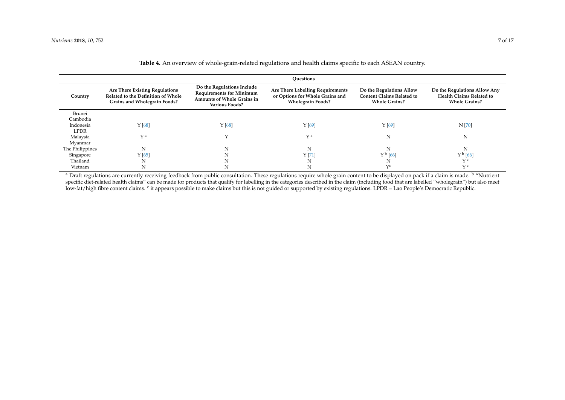| Country         | <b>Are There Existing Regulations</b><br>Related to the Definition of Whole<br>Grains and Wholegrain Foods? | Do the Regulations Include<br><b>Requirements for Minimum</b><br>Amounts of Whole Grains in<br><b>Various Foods?</b> | Are There Labelling Requirements<br>or Options for Whole Grains and<br><b>Wholegrain Foods?</b> | Do the Regulations Allow<br><b>Content Claims Related to</b><br><b>Whole Grains?</b> | Do the Regulations Allow Any<br>Health Claims Related to<br><b>Whole Grains?</b> |
|-----------------|-------------------------------------------------------------------------------------------------------------|----------------------------------------------------------------------------------------------------------------------|-------------------------------------------------------------------------------------------------|--------------------------------------------------------------------------------------|----------------------------------------------------------------------------------|
| Brunei          |                                                                                                             |                                                                                                                      |                                                                                                 |                                                                                      |                                                                                  |
| Cambodia        |                                                                                                             |                                                                                                                      |                                                                                                 |                                                                                      |                                                                                  |
| Indonesia       | Y[68]                                                                                                       | Y[68]                                                                                                                | Y [69]                                                                                          | Y[69]                                                                                | N [70]                                                                           |
| LPDR            |                                                                                                             |                                                                                                                      |                                                                                                 |                                                                                      |                                                                                  |
| Malaysia        | $\vee$ a                                                                                                    |                                                                                                                      | $\vee$ a                                                                                        | N                                                                                    | N                                                                                |
| Myanmar         |                                                                                                             |                                                                                                                      |                                                                                                 |                                                                                      |                                                                                  |
| The Philippines | N                                                                                                           | N                                                                                                                    | N                                                                                               |                                                                                      | N                                                                                |
| Singapore       | Y[65]                                                                                                       |                                                                                                                      | Y[71]                                                                                           | $Y^{\,b}\, [66]$                                                                     | $Y^{\,b}$ [66]                                                                   |
| Thailand        | N                                                                                                           |                                                                                                                      |                                                                                                 |                                                                                      | $\vee$ C                                                                         |
| Vietnam         | N                                                                                                           |                                                                                                                      | N                                                                                               | $\vee$ c                                                                             | $\vee$ c                                                                         |

**Table 4.** An overview of whole-grain-related regulations and health claims specific to each ASEAN country.

<span id="page-6-0"></span><sup>a</sup> Draft regulations are currently receiving feedback from public consultation. These regulations require whole grain content to be displayed on pack if a claim is made. <sup>b</sup> "Nutrient specific diet-related health claims" can be made for products that qualify for labelling in the categories described in the claim (including food that are labelled "wholegrain") but also meet low-fat/high fibre content claims. <sup>c</sup> it appears possible to make claims but this is not guided or supported by existing regulations. LPDR = Lao People's Democratic Republic.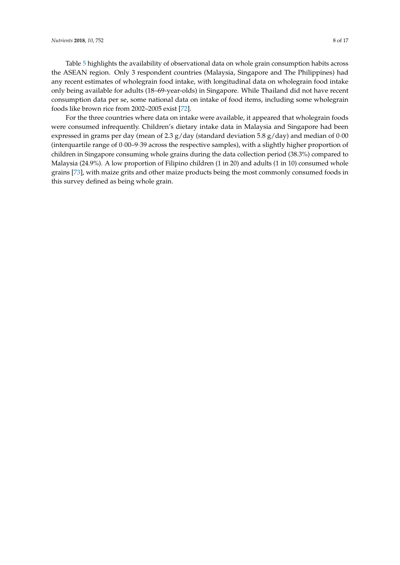Table [5](#page-8-0) highlights the availability of observational data on whole grain consumption habits across the ASEAN region. Only 3 respondent countries (Malaysia, Singapore and The Philippines) had any recent estimates of wholegrain food intake, with longitudinal data on wholegrain food intake only being available for adults (18–69-year-olds) in Singapore. While Thailand did not have recent consumption data per se, some national data on intake of food items, including some wholegrain foods like brown rice from 2002–2005 exist [\[72\]](#page-15-10).

For the three countries where data on intake were available, it appeared that wholegrain foods were consumed infrequently. Children's dietary intake data in Malaysia and Singapore had been expressed in grams per day (mean of 2.3  $g$ /day (standard deviation 5.8  $g$ /day) and median of 0.00 (interquartile range of 0·00–9·39 across the respective samples), with a slightly higher proportion of children in Singapore consuming whole grains during the data collection period (38.3%) compared to Malaysia (24.9%). A low proportion of Filipino children (1 in 20) and adults (1 in 10) consumed whole grains [\[73\]](#page-15-11), with maize grits and other maize products being the most commonly consumed foods in this survey defined as being whole grain.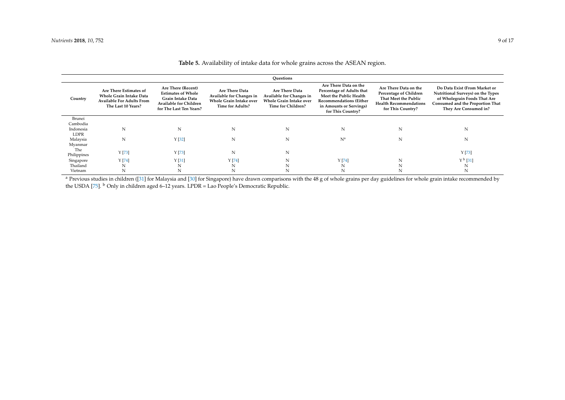| Ouestions                |                                                                                                                    |                                                                                                                                  |                                                                                                         |                                                                                                    |                                                                                                                                                                |                                                                                                                               |                                                                                                                                                                 |
|--------------------------|--------------------------------------------------------------------------------------------------------------------|----------------------------------------------------------------------------------------------------------------------------------|---------------------------------------------------------------------------------------------------------|----------------------------------------------------------------------------------------------------|----------------------------------------------------------------------------------------------------------------------------------------------------------------|-------------------------------------------------------------------------------------------------------------------------------|-----------------------------------------------------------------------------------------------------------------------------------------------------------------|
| Country                  | Are There Estimates of<br><b>Whole Grain Intake Data</b><br><b>Available For Adults From</b><br>The Last 10 Years? | Are There (Recent)<br><b>Estimates of Whole</b><br>Grain Intake Data<br><b>Available for Children</b><br>for The Last Ten Years? | Are There Data<br>Available for Changes in<br><b>Whole Grain Intake over</b><br><b>Time for Adults?</b> | Are There Data<br>Available for Changes in<br><b>Whole Grain Intake over</b><br>Time for Children? | Are There Data on the<br>Percentage of Adults that<br>Meet the Public Health<br><b>Recommendations (Either</b><br>in Amounts or Servings)<br>for This Country? | Are There Data on the<br>Percentage of Children<br>That Meet the Public<br><b>Health Recommendations</b><br>for This Country? | Do Data Exist (From Market or<br>Nutritional Surveys) on the Types<br>of Wholegrain Foods That Are<br>Consumed and the Proportion That<br>They Are Consumed in? |
| Brunei                   |                                                                                                                    |                                                                                                                                  |                                                                                                         |                                                                                                    |                                                                                                                                                                |                                                                                                                               |                                                                                                                                                                 |
| Cambodia                 |                                                                                                                    |                                                                                                                                  |                                                                                                         |                                                                                                    |                                                                                                                                                                |                                                                                                                               |                                                                                                                                                                 |
| Indonesia<br><b>LDPR</b> | N                                                                                                                  | N                                                                                                                                | N                                                                                                       | N                                                                                                  | N                                                                                                                                                              | N                                                                                                                             | N                                                                                                                                                               |
| Malaysia                 | N                                                                                                                  | Y[32]                                                                                                                            | N                                                                                                       | N                                                                                                  | $N^a$                                                                                                                                                          | N                                                                                                                             | N                                                                                                                                                               |
| Myanmar                  |                                                                                                                    |                                                                                                                                  |                                                                                                         |                                                                                                    |                                                                                                                                                                |                                                                                                                               |                                                                                                                                                                 |
| The                      | Y[73]                                                                                                              | Y[73]                                                                                                                            | N                                                                                                       | N                                                                                                  |                                                                                                                                                                |                                                                                                                               | Y [73]                                                                                                                                                          |
| Philippines              |                                                                                                                    |                                                                                                                                  |                                                                                                         |                                                                                                    |                                                                                                                                                                |                                                                                                                               |                                                                                                                                                                 |
| Singapore                | Y[74]                                                                                                              | Y[31]                                                                                                                            | Y[74]                                                                                                   | N                                                                                                  | Y[74]                                                                                                                                                          | N                                                                                                                             | $Y^{\,b}$ [31]                                                                                                                                                  |
| Thailand                 | N                                                                                                                  | N                                                                                                                                | N                                                                                                       |                                                                                                    | N                                                                                                                                                              |                                                                                                                               | N                                                                                                                                                               |
| Vietnam                  | N                                                                                                                  | N                                                                                                                                |                                                                                                         |                                                                                                    | N                                                                                                                                                              |                                                                                                                               | N                                                                                                                                                               |

# **Table 5.** Availability of intake data for whole grains across the ASEAN region.

<span id="page-8-0"></span><sup>a</sup> Previous studies in children ([\[31\]](#page-13-17) for Malaysia and [\[30\]](#page-13-18) for Singapore) have drawn comparisons with the 48 g of whole grains per day guidelines for whole grain intake recommended by the USDA [\[75\]](#page-15-14). <sup>b</sup> Only in children aged 6–12 years. LPDR = Lao People's Democratic Republic.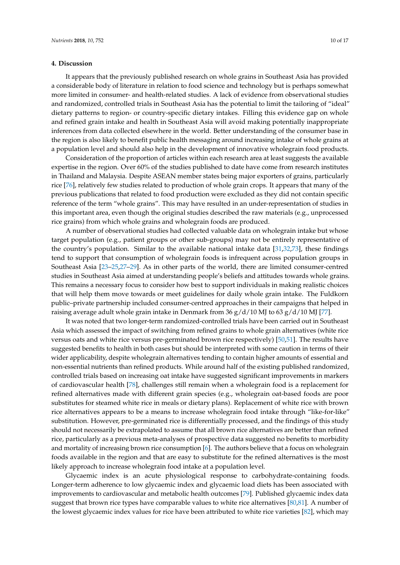#### **4. Discussion**

It appears that the previously published research on whole grains in Southeast Asia has provided a considerable body of literature in relation to food science and technology but is perhaps somewhat more limited in consumer- and health-related studies. A lack of evidence from observational studies and randomized, controlled trials in Southeast Asia has the potential to limit the tailoring of "ideal" dietary patterns to region- or country-specific dietary intakes. Filling this evidence gap on whole and refined grain intake and health in Southeast Asia will avoid making potentially inappropriate inferences from data collected elsewhere in the world. Better understanding of the consumer base in the region is also likely to benefit public health messaging around increasing intake of whole grains at a population level and should also help in the development of innovative wholegrain food products.

Consideration of the proportion of articles within each research area at least suggests the available expertise in the region. Over 60% of the studies published to date have come from research institutes in Thailand and Malaysia. Despite ASEAN member states being major exporters of grains, particularly rice [\[76\]](#page-15-15), relatively few studies related to production of whole grain crops. It appears that many of the previous publications that related to food production were excluded as they did not contain specific reference of the term "whole grains". This may have resulted in an under-representation of studies in this important area, even though the original studies described the raw materials (e.g., unprocessed rice grains) from which whole grains and wholegrain foods are produced.

A number of observational studies had collected valuable data on wholegrain intake but whose target population (e.g., patient groups or other sub-groups) may not be entirely representative of the country's population. Similar to the available national intake data [\[31](#page-13-7)[,32,](#page-13-8)[73\]](#page-15-11), these findings tend to support that consumption of wholegrain foods is infrequent across population groups in Southeast Asia [\[23](#page-12-15)[–25,](#page-13-1)[27–](#page-13-3)[29\]](#page-13-5). As in other parts of the world, there are limited consumer-centred studies in Southeast Asia aimed at understanding people's beliefs and attitudes towards whole grains. This remains a necessary focus to consider how best to support individuals in making realistic choices that will help them move towards or meet guidelines for daily whole grain intake. The Fuldkorn public–private partnership included consumer-centred approaches in their campaigns that helped in raising average adult whole grain intake in Denmark from  $36 \frac{g}{d}$  10 MJ to  $63 \frac{g}{d}$  10 MJ [\[77\]](#page-15-16).

It was noted that two longer-term randomized-controlled trials have been carried out in Southeast Asia which assessed the impact of switching from refined grains to whole grain alternatives (white rice versus oats and white rice versus pre-germinated brown rice respectively) [\[50](#page-14-5)[,51\]](#page-14-6). The results have suggested benefits to health in both cases but should be interpreted with some caution in terms of their wider applicability, despite wholegrain alternatives tending to contain higher amounts of essential and non-essential nutrients than refined products. While around half of the existing published randomized, controlled trials based on increasing oat intake have suggested significant improvements in markers of cardiovascular health [\[78\]](#page-15-17), challenges still remain when a wholegrain food is a replacement for refined alternatives made with different grain species (e.g., wholegrain oat-based foods are poor substitutes for steamed white rice in meals or dietary plans). Replacement of white rice with brown rice alternatives appears to be a means to increase wholegrain food intake through "like-for-like" substitution. However, pre-germinated rice is differentially processed, and the findings of this study should not necessarily be extrapolated to assume that all brown rice alternatives are better than refined rice, particularly as a previous meta-analyses of prospective data suggested no benefits to morbidity and mortality of increasing brown rice consumption [\[6\]](#page-12-2). The authors believe that a focus on wholegrain foods available in the region and that are easy to substitute for the refined alternatives is the most likely approach to increase wholegrain food intake at a population level.

Glycaemic index is an acute physiological response to carbohydrate-containing foods. Longer-term adherence to low glycaemic index and glycaemic load diets has been associated with improvements to cardiovascular and metabolic health outcomes [\[79\]](#page-15-18). Published glycaemic index data suggest that brown rice types have comparable values to white rice alternatives [\[80,](#page-15-19)[81\]](#page-15-20). A number of the lowest glycaemic index values for rice have been attributed to white rice varieties [\[82\]](#page-15-21), which may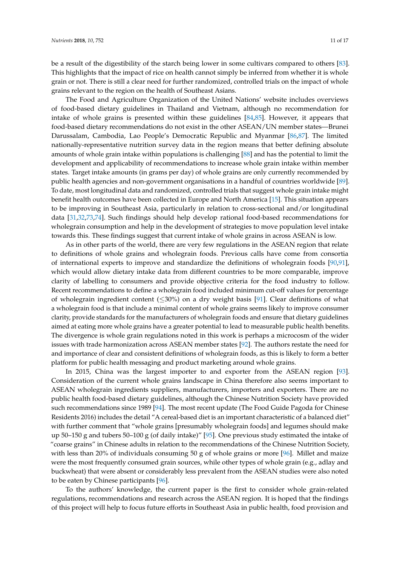be a result of the digestibility of the starch being lower in some cultivars compared to others [\[83\]](#page-15-22). This highlights that the impact of rice on health cannot simply be inferred from whether it is whole grain or not. There is still a clear need for further randomized, controlled trials on the impact of whole grains relevant to the region on the health of Southeast Asians.

The Food and Agriculture Organization of the United Nations' website includes overviews of food-based dietary guidelines in Thailand and Vietnam, although no recommendation for intake of whole grains is presented within these guidelines [\[84,](#page-15-23)[85\]](#page-16-0). However, it appears that food-based dietary recommendations do not exist in the other ASEAN/UN member states—Brunei Darussalam, Cambodia, Lao People's Democratic Republic and Myanmar [\[86,](#page-16-1)[87\]](#page-16-2). The limited nationally-representative nutrition survey data in the region means that better defining absolute amounts of whole grain intake within populations is challenging [\[88\]](#page-16-3) and has the potential to limit the development and applicability of recommendations to increase whole grain intake within member states. Target intake amounts (in grams per day) of whole grains are only currently recommended by public health agencies and non-government organisations in a handful of countries worldwide [\[89\]](#page-16-4). To date, most longitudinal data and randomized, controlled trials that suggest whole grain intake might benefit health outcomes have been collected in Europe and North America [\[15\]](#page-12-8). This situation appears to be improving in Southeast Asia, particularly in relation to cross-sectional and/or longitudinal data [\[31,](#page-13-7)[32,](#page-13-8)[73,](#page-15-11)[74\]](#page-15-24). Such findings should help develop rational food-based recommendations for wholegrain consumption and help in the development of strategies to move population level intake towards this. These findings suggest that current intake of whole grains in across ASEAN is low.

As in other parts of the world, there are very few regulations in the ASEAN region that relate to definitions of whole grains and wholegrain foods. Previous calls have come from consortia of international experts to improve and standardize the definitions of wholegrain foods [\[90,](#page-16-5)[91\]](#page-16-6), which would allow dietary intake data from different countries to be more comparable, improve clarity of labelling to consumers and provide objective criteria for the food industry to follow. Recent recommendations to define a wholegrain food included minimum cut-off values for percentage of wholegrain ingredient content ( $\leq 30\%$ ) on a dry weight basis [\[91\]](#page-16-6). Clear definitions of what a wholegrain food is that include a minimal content of whole grains seems likely to improve consumer clarity, provide standards for the manufacturers of wholegrain foods and ensure that dietary guidelines aimed at eating more whole grains have a greater potential to lead to measurable public health benefits. The divergence is whole grain regulations noted in this work is perhaps a microcosm of the wider issues with trade harmonization across ASEAN member states [\[92\]](#page-16-7). The authors restate the need for and importance of clear and consistent definitions of wholegrain foods, as this is likely to form a better platform for public health messaging and product marketing around whole grains.

In 2015, China was the largest importer to and exporter from the ASEAN region [\[93\]](#page-16-8). Consideration of the current whole grains landscape in China therefore also seems important to ASEAN wholegrain ingredients suppliers, manufacturers, importers and exporters. There are no public health food-based dietary guidelines, although the Chinese Nutrition Society have provided such recommendations since 1989 [\[94\]](#page-16-9). The most recent update (The Food Guide Pagoda for Chinese Residents 2016) includes the detail "A cereal-based diet is an important characteristic of a balanced diet" with further comment that "whole grains [presumably wholegrain foods] and legumes should make up 50–150 g and tubers 50–100 g (of daily intake)" [\[95\]](#page-16-10). One previous study estimated the intake of "coarse grains" in Chinese adults in relation to the recommendations of the Chinese Nutrition Society, with less than 20% of individuals consuming 50 g of whole grains or more [\[96\]](#page-16-11). Millet and maize were the most frequently consumed grain sources, while other types of whole grain (e.g., adlay and buckwheat) that were absent or considerably less prevalent from the ASEAN studies were also noted to be eaten by Chinese participants [\[96\]](#page-16-11).

To the authors' knowledge, the current paper is the first to consider whole grain-related regulations, recommendations and research across the ASEAN region. It is hoped that the findings of this project will help to focus future efforts in Southeast Asia in public health, food provision and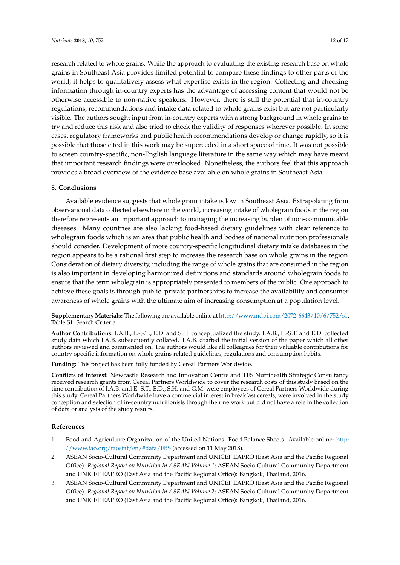research related to whole grains. While the approach to evaluating the existing research base on whole grains in Southeast Asia provides limited potential to compare these findings to other parts of the world, it helps to qualitatively assess what expertise exists in the region. Collecting and checking information through in-country experts has the advantage of accessing content that would not be otherwise accessible to non-native speakers. However, there is still the potential that in-country regulations, recommendations and intake data related to whole grains exist but are not particularly visible. The authors sought input from in-country experts with a strong background in whole grains to try and reduce this risk and also tried to check the validity of responses wherever possible. In some cases, regulatory frameworks and public health recommendations develop or change rapidly, so it is possible that those cited in this work may be superceded in a short space of time. It was not possible to screen country-specific, non-English language literature in the same way which may have meant that important research findings were overlooked. Nonetheless, the authors feel that this approach provides a broad overview of the evidence base available on whole grains in Southeast Asia.

## **5. Conclusions**

Available evidence suggests that whole grain intake is low in Southeast Asia. Extrapolating from observational data collected elsewhere in the world, increasing intake of wholegrain foods in the region therefore represents an important approach to managing the increasing burden of non-communicable diseases. Many countries are also lacking food-based dietary guidelines with clear reference to wholegrain foods which is an area that public health and bodies of national nutrition professionals should consider. Development of more country-specific longitudinal dietary intake databases in the region appears to be a rational first step to increase the research base on whole grains in the region. Consideration of dietary diversity, including the range of whole grains that are consumed in the region is also important in developing harmonized definitions and standards around wholegrain foods to ensure that the term wholegrain is appropriately presented to members of the public. One approach to achieve these goals is through public–private partnerships to increase the availability and consumer awareness of whole grains with the ultimate aim of increasing consumption at a population level.

**Supplementary Materials:** The following are available online at [http://www.mdpi.com/2072-6643/10/6/752/s1,](http://www.mdpi.com/2072-6643/10/6/752/s1) Table S1: Search Criteria.

**Author Contributions:** I.A.B., E.-S.T., E.D. and S.H. conceptualized the study. I.A.B., E.-S.T. and E.D. collected study data which I.A.B. subsequently collated. I.A.B. drafted the initial version of the paper which all other authors reviewed and commented on. The authors would like all colleagues for their valuable contributions for country-specific information on whole grains-related guidelines, regulations and consumption habits.

**Funding:** This project has been fully funded by Cereal Partners Worldwide.

**Conflicts of Interest:** Newcastle Research and Innovation Centre and TES Nutrihealth Strategic Consultancy received research grants from Cereal Partners Worldwide to cover the research costs of this study based on the time contribution of I.A.B. and E.-S.T., E.D., S.H. and G.M. were employees of Cereal Partners Worldwide during this study. Cereal Partners Worldwide have a commercial interest in breakfast cereals, were involved in the study conception and selection of in-country nutritionists through their network but did not have a role in the collection of data or analysis of the study results.

#### **References**

- <span id="page-11-0"></span>1. Food and Agriculture Organization of the United Nations. Food Balance Sheets. Available online: [http:](http://www.fao.org/faostat/en/#data/FBS) [//www.fao.org/faostat/en/#data/FBS](http://www.fao.org/faostat/en/#data/FBS) (accessed on 11 May 2018).
- <span id="page-11-1"></span>2. ASEAN Socio-Cultural Community Department and UNICEF EAPRO (East Asia and the Pacific Regional Office). *Regional Report on Nutrition in ASEAN Volume 1*; ASEAN Socio-Cultural Community Department and UNICEF EAPRO (East Asia and the Pacific Regional Office): Bangkok, Thailand, 2016.
- <span id="page-11-2"></span>3. ASEAN Socio-Cultural Community Department and UNICEF EAPRO (East Asia and the Pacific Regional Office). *Regional Report on Nutrition in ASEAN Volume 2*; ASEAN Socio-Cultural Community Department and UNICEF EAPRO (East Asia and the Pacific Regional Office): Bangkok, Thailand, 2016.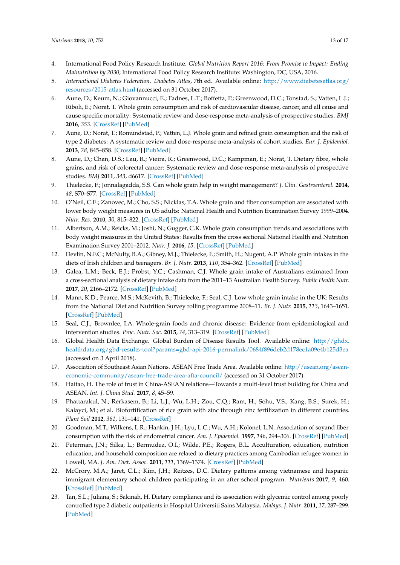- <span id="page-12-0"></span>4. International Food Policy Research Institute. *Global Nutrition Report 2016: From Promise to Impact: Ending Malnutrition by 2030*; International Food Policy Research Institute: Washington, DC, USA, 2016.
- <span id="page-12-1"></span>5. *International Diabetes Federation. Diabetes Atlas*, 7th ed. Available online: [http://www.diabetesatlas.org/](http://www.diabetesatlas.org/resources/2015-atlas.html) [resources/2015-atlas.html](http://www.diabetesatlas.org/resources/2015-atlas.html) (accessed on 31 October 2017).
- <span id="page-12-2"></span>6. Aune, D.; Keum, N.; Giovannucci, E.; Fadnes, L.T.; Boffetta, P.; Greenwood, D.C.; Tonstad, S.; Vatten, L.J.; Riboli, E.; Norat, T. Whole grain consumption and risk of cardiovascular disease, cancer, and all cause and cause specific mortality: Systematic review and dose-response meta-analysis of prospective studies. *BMJ* **2016**, *353*. [\[CrossRef\]](http://dx.doi.org/10.1136/bmj.i2716) [\[PubMed\]](http://www.ncbi.nlm.nih.gov/pubmed/27301975)
- 7. Aune, D.; Norat, T.; Romundstad, P.; Vatten, L.J. Whole grain and refined grain consumption and the risk of type 2 diabetes: A systematic review and dose-response meta-analysis of cohort studies. *Eur. J. Epidemiol.* **2013**, *28*, 845–858. [\[CrossRef\]](http://dx.doi.org/10.1007/s10654-013-9852-5) [\[PubMed\]](http://www.ncbi.nlm.nih.gov/pubmed/24158434)
- <span id="page-12-3"></span>8. Aune, D.; Chan, D.S.; Lau, R.; Vieira, R.; Greenwood, D.C.; Kampman, E.; Norat, T. Dietary fibre, whole grains, and risk of colorectal cancer: Systematic review and dose-response meta-analysis of prospective studies. *BMJ* **2011**, *343*, d6617. [\[CrossRef\]](http://dx.doi.org/10.1136/bmj.d6617) [\[PubMed\]](http://www.ncbi.nlm.nih.gov/pubmed/22074852)
- <span id="page-12-4"></span>9. Thielecke, F.; Jonnalagadda, S.S. Can whole grain help in weight management? *J. Clin. Gastroenterol.* **2014**, *48*, S70–S77. [\[CrossRef\]](http://dx.doi.org/10.1097/MCG.0000000000000243) [\[PubMed\]](http://www.ncbi.nlm.nih.gov/pubmed/25291133)
- <span id="page-12-5"></span>10. O'Neil, C.E.; Zanovec, M.; Cho, S.S.; Nicklas, T.A. Whole grain and fiber consumption are associated with lower body weight measures in US adults: National Health and Nutrition Examination Survey 1999–2004. *Nutr. Res.* **2010**, *30*, 815–822. [\[CrossRef\]](http://dx.doi.org/10.1016/j.nutres.2010.10.013) [\[PubMed\]](http://www.ncbi.nlm.nih.gov/pubmed/21147364)
- <span id="page-12-6"></span>11. Albertson, A.M.; Reicks, M.; Joshi, N.; Gugger, C.K. Whole grain consumption trends and associations with body weight measures in the United States: Results from the cross sectional National Health and Nutrition Examination Survey 2001–2012. *Nutr. J.* **2016**, *15*. [\[CrossRef\]](http://dx.doi.org/10.1186/s12937-016-0126-4) [\[PubMed\]](http://www.ncbi.nlm.nih.gov/pubmed/26801989)
- 12. Devlin, N.F.C.; McNulty, B.A.; Gibney, M.J.; Thielecke, F.; Smith, H.; Nugent, A.P. Whole grain intakes in the diets of Irish children and teenagers. *Br. J. Nutr.* **2013**, *110*, 354–362. [\[CrossRef\]](http://dx.doi.org/10.1017/S0007114512004989) [\[PubMed\]](http://www.ncbi.nlm.nih.gov/pubmed/23228207)
- 13. Galea, L.M.; Beck, E.J.; Probst, Y.C.; Cashman, C.J. Whole grain intake of Australians estimated from a cross-sectional analysis of dietary intake data from the 2011–13 Australian Health Survey. *Public Health Nutr.* **2017**, *20*, 2166–2172. [\[CrossRef\]](http://dx.doi.org/10.1017/S1368980017001082) [\[PubMed\]](http://www.ncbi.nlm.nih.gov/pubmed/28592344)
- <span id="page-12-7"></span>14. Mann, K.D.; Pearce, M.S.; McKevith, B.; Thielecke, F.; Seal, C.J. Low whole grain intake in the UK: Results from the National Diet and Nutrition Survey rolling programme 2008–11. *Br. J. Nutr.* **2015**, *113*, 1643–1651. [\[CrossRef\]](http://dx.doi.org/10.1017/S0007114515000422) [\[PubMed\]](http://www.ncbi.nlm.nih.gov/pubmed/25904034)
- <span id="page-12-8"></span>15. Seal, C.J.; Brownlee, I.A. Whole-grain foods and chronic disease: Evidence from epidemiological and intervention studies. *Proc. Nutr. Soc.* **2015**, *74*, 313–319. [\[CrossRef\]](http://dx.doi.org/10.1017/S0029665115002104) [\[PubMed\]](http://www.ncbi.nlm.nih.gov/pubmed/26062574)
- <span id="page-12-9"></span>16. Global Health Data Exchange. Global Burden of Disease Results Tool. Available online: [http://ghdx.](http://ghdx.healthdata.org/gbd-results-tool?params=gbd-api-2016-permalink/0684f896deb2d178ec1a09e4b125d3ea) [healthdata.org/gbd-results-tool?params=gbd-api-2016-permalink/0684f896deb2d178ec1a09e4b125d3ea](http://ghdx.healthdata.org/gbd-results-tool?params=gbd-api-2016-permalink/0684f896deb2d178ec1a09e4b125d3ea) (accessed on 3 April 2018).
- <span id="page-12-10"></span>17. Association of Southeast Asian Nations. ASEAN Free Trade Area. Available online: [http://asean.org/asean](http://asean.org/asean-economic-community/asean-free-trade-area-afta-council/)[economic-community/asean-free-trade-area-afta-council/](http://asean.org/asean-economic-community/asean-free-trade-area-afta-council/) (accessed on 31 October 2017).
- <span id="page-12-11"></span>18. Haitao, H. The role of trust in China-ASEAN relations—Towards a multi-level trust building for China and ASEAN. *Int. J. China Stud.* **2017**, *8*, 45–59.
- <span id="page-12-12"></span>19. Phattarakul, N.; Rerkasem, B.; Li, L.J.; Wu, L.H.; Zou, C.Q.; Ram, H.; Sohu, V.S.; Kang, B.S.; Surek, H.; Kalayci, M.; et al. Biofortification of rice grain with zinc through zinc fertilization in different countries. *Plant Soil* **2012**, *361*, 131–141. [\[CrossRef\]](http://dx.doi.org/10.1007/s11104-012-1211-x)
- <span id="page-12-13"></span>20. Goodman, M.T.; Wilkens, L.R.; Hankin, J.H.; Lyu, L.C.; Wu, A.H.; Kolonel, L.N. Association of soyand fiber consumption with the risk of endometrial cancer. *Am. J. Epidemiol.* **1997**, *146*, 294–306. [\[CrossRef\]](http://dx.doi.org/10.1093/oxfordjournals.aje.a009270) [\[PubMed\]](http://www.ncbi.nlm.nih.gov/pubmed/9270408)
- 21. Peterman, J.N.; Silka, L.; Bermudez, O.I.; Wilde, P.E.; Rogers, B.L. Acculturation, education, nutrition education, and household composition are related to dietary practices among Cambodian refugee women in Lowell, MA. *J. Am. Diet. Assoc.* **2011**, *111*, 1369–1374. [\[CrossRef\]](http://dx.doi.org/10.1016/j.jada.2011.06.005) [\[PubMed\]](http://www.ncbi.nlm.nih.gov/pubmed/21872700)
- <span id="page-12-14"></span>22. McCrory, M.A.; Jaret, C.L.; Kim, J.H.; Reitzes, D.C. Dietary patterns among vietnamese and hispanic immigrant elementary school children participating in an after school program. *Nutrients* **2017**, *9*, 460. [\[CrossRef\]](http://dx.doi.org/10.3390/nu9050460) [\[PubMed\]](http://www.ncbi.nlm.nih.gov/pubmed/28475160)
- <span id="page-12-15"></span>23. Tan, S.L.; Juliana, S.; Sakinah, H. Dietary compliance and its association with glycemic control among poorly controlled type 2 diabetic outpatients in Hospital Universiti Sains Malaysia. *Malays. J. Nutr.* **2011**, *17*, 287–299. [\[PubMed\]](http://www.ncbi.nlm.nih.gov/pubmed/22655451)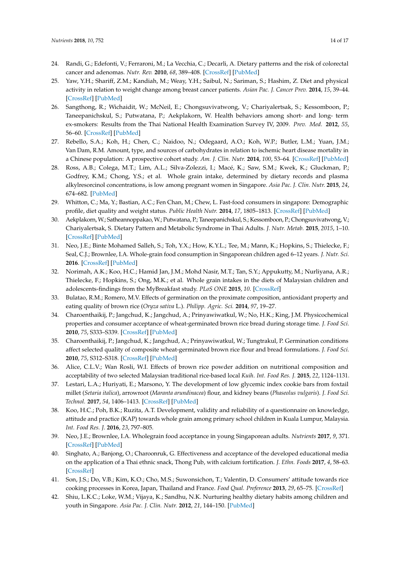- <span id="page-13-18"></span><span id="page-13-0"></span>24. Randi, G.; Edefonti, V.; Ferraroni, M.; La Vecchia, C.; Decarli, A. Dietary patterns and the risk of colorectal cancer and adenomas. *Nutr. Rev.* **2010**, *68*, 389–408. [\[CrossRef\]](http://dx.doi.org/10.1111/j.1753-4887.2010.00299.x) [\[PubMed\]](http://www.ncbi.nlm.nih.gov/pubmed/20591107)
- <span id="page-13-17"></span><span id="page-13-1"></span>25. Yaw, Y.H.; Shariff, Z.M.; Kandiah, M.; Weay, Y.H.; Saibul, N.; Sariman, S.; Hashim, Z. Diet and physical activity in relation to weight change among breast cancer patients. *Asian Pac. J. Cancer Prev.* **2014**, *15*, 39–44. [\[CrossRef\]](http://dx.doi.org/10.7314/APJCP.2014.15.1.39) [\[PubMed\]](http://www.ncbi.nlm.nih.gov/pubmed/24528062)
- <span id="page-13-16"></span><span id="page-13-2"></span>26. Sangthong, R.; Wichaidit, W.; McNeil, E.; Chongsuvivatwong, V.; Chariyalertsak, S.; Kessomboon, P.; Taneepanichskul, S.; Putwatana, P.; Aekplakorn, W. Health behaviors among short- and long- term ex-smokers: Results from the Thai National Health Examination Survey IV, 2009. *Prev. Med.* **2012**, *55*, 56–60. [\[CrossRef\]](http://dx.doi.org/10.1016/j.ypmed.2012.04.022) [\[PubMed\]](http://www.ncbi.nlm.nih.gov/pubmed/22569485)
- <span id="page-13-3"></span>27. Rebello, S.A.; Koh, H.; Chen, C.; Naidoo, N.; Odegaard, A.O.; Koh, W.P.; Butler, L.M.; Yuan, J.M.; Van Dam, R.M. Amount, type, and sources of carbohydrates in relation to ischemic heart disease mortality in a Chinese population: A prospective cohort study. *Am. J. Clin. Nutr.* **2014**, *100*, 53–64. [\[CrossRef\]](http://dx.doi.org/10.3945/ajcn.113.076273) [\[PubMed\]](http://www.ncbi.nlm.nih.gov/pubmed/24787492)
- <span id="page-13-4"></span>28. Ross, A.B.; Colega, M.T.; Lim, A.L.; Silva-Zolezzi, I.; Macé, K.; Saw, S.M.; Kwek, K.; Gluckman, P.; Godfrey, K.M.; Chong, Y.S.; et al. Whole grain intake, determined by dietary records and plasma alkylresorcinol concentrations, is low among pregnant women in Singapore. *Asia Pac. J. Clin. Nutr.* **2015**, *24*, 674–682. [\[PubMed\]](http://www.ncbi.nlm.nih.gov/pubmed/26693753)
- <span id="page-13-5"></span>29. Whitton, C.; Ma, Y.; Bastian, A.C.; Fen Chan, M.; Chew, L. Fast-food consumers in singapore: Demographic profile, diet quality and weight status. *Public Health Nutr.* **2014**, *17*, 1805–1813. [\[CrossRef\]](http://dx.doi.org/10.1017/S1368980013001997) [\[PubMed\]](http://www.ncbi.nlm.nih.gov/pubmed/23905623)
- <span id="page-13-6"></span>30. Aekplakorn,W.; Satheannoppakao,W.; Putwatana, P.; Taneepanichskul, S.; Kessomboon, P.; Chongsuvivatwong, V.; Chariyalertsak, S. Dietary Pattern and Metabolic Syndrome in Thai Adults. *J. Nutr. Metab.* **2015**, *2015*, 1–10. [\[CrossRef\]](http://dx.doi.org/10.1155/2015/468759) [\[PubMed\]](http://www.ncbi.nlm.nih.gov/pubmed/25699190)
- <span id="page-13-7"></span>31. Neo, J.E.; Binte Mohamed Salleh, S.; Toh, Y.X.; How, K.Y.L.; Tee, M.; Mann, K.; Hopkins, S.; Thielecke, F.; Seal, C.J.; Brownlee, I.A. Whole-grain food consumption in Singaporean children aged 6–12 years. *J. Nutr. Sci.* **2016**. [\[CrossRef\]](http://dx.doi.org/10.1017/jns.2016.25) [\[PubMed\]](http://www.ncbi.nlm.nih.gov/pubmed/27547396)
- <span id="page-13-8"></span>32. Norimah, A.K.; Koo, H.C.; Hamid Jan, J.M.; Mohd Nasir, M.T.; Tan, S.Y.; Appukutty, M.; Nurliyana, A.R.; Thielecke, F.; Hopkins, S.; Ong, M.K.; et al. Whole grain intakes in the diets of Malaysian children and adolescents-findings from the MyBreakfast study. *PLoS ONE* **2015**, *10*. [\[CrossRef\]](http://dx.doi.org/10.1371/journal.pone.0138247)
- <span id="page-13-9"></span>33. Bulatao, R.M.; Romero, M.V. Effects of germination on the proximate composition, antioxidant property and eating quality of brown rice (*Oryza sativa* L.). *Philipp. Agric. Sci.* **2014**, *97*, 19–27.
- 34. Charoenthaikij, P.; Jangchud, K.; Jangchud, A.; Prinyawiwatkul, W.; No, H.K.; King, J.M. Physicochemical properties and consumer acceptance of wheat-germinated brown rice bread during storage time. *J. Food Sci.* **2010**, *75*, S333–S339. [\[CrossRef\]](http://dx.doi.org/10.1111/j.1750-3841.2010.01684.x) [\[PubMed\]](http://www.ncbi.nlm.nih.gov/pubmed/20722957)
- <span id="page-13-10"></span>35. Charoenthaikij, P.; Jangchud, K.; Jangchud, A.; Prinyawiwatkul, W.; Tungtrakul, P. Germination conditions affect selected quality of composite wheat-germinated brown rice flour and bread formulations. *J. Food Sci.* **2010**, *75*, S312–S318. [\[CrossRef\]](http://dx.doi.org/10.1111/j.1750-3841.2010.01712.x) [\[PubMed\]](http://www.ncbi.nlm.nih.gov/pubmed/20722954)
- <span id="page-13-11"></span>36. Alice, C.L.V.; Wan Rosli, W.I. Effects of brown rice powder addition on nutritional composition and acceptability of two selected Malaysian traditional rice-based local *Kuih*. *Int. Food Res. J.* **2015**, *22*, 1124–1131.
- <span id="page-13-12"></span>37. Lestari, L.A.; Huriyati, E.; Marsono, Y. The development of low glycemic index cookie bars from foxtail millet (*Setaria italica*), arrowroot (*Maranta arundinacea*) flour, and kidney beans (*Phaseolus vulgaris*). *J. Food Sci. Technol.* **2017**, *54*, 1406–1413. [\[CrossRef\]](http://dx.doi.org/10.1007/s13197-017-2552-5) [\[PubMed\]](http://www.ncbi.nlm.nih.gov/pubmed/28559599)
- <span id="page-13-13"></span>38. Koo, H.C.; Poh, B.K.; Ruzita, A.T. Development, validity and reliability of a questionnaire on knowledge, attitude and practice (KAP) towards whole grain among primary school children in Kuala Lumpur, Malaysia. *Int. Food Res. J.* **2016**, *23*, 797–805.
- 39. Neo, J.E.; Brownlee, I.A. Wholegrain food acceptance in young Singaporean adults. *Nutrients* **2017**, *9*, 371. [\[CrossRef\]](http://dx.doi.org/10.3390/nu9040371) [\[PubMed\]](http://www.ncbi.nlm.nih.gov/pubmed/28397752)
- 40. Singhato, A.; Banjong, O.; Charoonruk, G. Effectiveness and acceptance of the developed educational media on the application of a Thai ethnic snack, Thong Pub, with calcium fortification. *J. Ethn. Foods* **2017**, *4*, 58–63. [\[CrossRef\]](http://dx.doi.org/10.1016/j.jef.2017.02.007)
- <span id="page-13-14"></span>41. Son, J.S.; Do, V.B.; Kim, K.O.; Cho, M.S.; Suwonsichon, T.; Valentin, D. Consumers' attitude towards rice cooking processes in Korea, Japan, Thailand and France. *Food Qual. Preference* **2013**, *29*, 65–75. [\[CrossRef\]](http://dx.doi.org/10.1016/j.foodqual.2013.02.002)
- <span id="page-13-15"></span>42. Shiu, L.K.C.; Loke, W.M.; Vijaya, K.; Sandhu, N.K. Nurturing healthy dietary habits among children and youth in Singapore. *Asia Pac. J. Clin. Nutr.* **2012**, *21*, 144–150. [\[PubMed\]](http://www.ncbi.nlm.nih.gov/pubmed/22374571)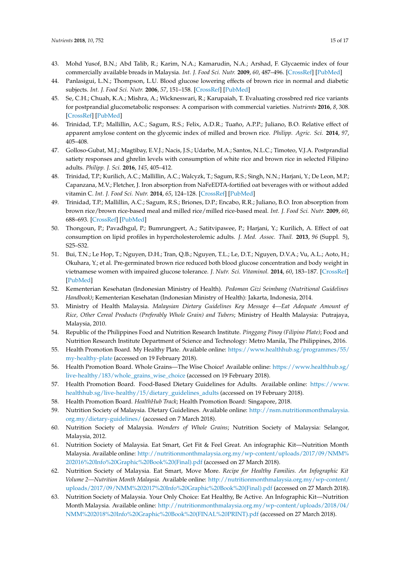- <span id="page-14-0"></span>43. Mohd Yusof, B.N.; Abd Talib, R.; Karim, N.A.; Kamarudin, N.A.; Arshad, F. Glycaemic index of four commercially available breads in Malaysia. *Int. J. Food Sci. Nutr.* **2009**, *60*, 487–496. [\[CrossRef\]](http://dx.doi.org/10.1080/09637480701804268) [\[PubMed\]](http://www.ncbi.nlm.nih.gov/pubmed/18785052)
- 44. Panlasigui, L.N.; Thompson, L.U. Blood glucose lowering effects of brown rice in normal and diabetic subjects. *Int. J. Food Sci. Nutr.* **2006**, *57*, 151–158. [\[CrossRef\]](http://dx.doi.org/10.1080/09637480500410879) [\[PubMed\]](http://www.ncbi.nlm.nih.gov/pubmed/17127465)
- 45. Se, C.H.; Chuah, K.A.; Mishra, A.; Wickneswari, R.; Karupaiah, T. Evaluating crossbred red rice variants for postprandial glucometabolic responses: A comparison with commercial varieties. *Nutrients* **2016**, *8*, 308. [\[CrossRef\]](http://dx.doi.org/10.3390/nu8050308) [\[PubMed\]](http://www.ncbi.nlm.nih.gov/pubmed/27213446)
- <span id="page-14-1"></span>46. Trinidad, T.P.; Mallillin, A.C.; Sagum, R.S.; Felix, A.D.R.; Tuaño, A.P.P.; Juliano, B.O. Relative effect of apparent amylose content on the glycemic index of milled and brown rice. *Philipp. Agric. Sci.* **2014**, *97*, 405–408.
- <span id="page-14-8"></span><span id="page-14-7"></span><span id="page-14-2"></span>47. Golloso-Gubat, M.J.; Magtibay, E.V.J.; Nacis, J.S.; Udarbe, M.A.; Santos, N.L.C.; Timoteo, V.J.A. Postprandial satiety responses and ghrelin levels with consumption of white rice and brown rice in selected Filipino adults. *Philipp. J. Sci.* **2016**, *145*, 405–412.
- <span id="page-14-9"></span><span id="page-14-3"></span>48. Trinidad, T.P.; Kurilich, A.C.; Mallillin, A.C.; Walcyzk, T.; Sagum, R.S.; Singh, N.N.; Harjani, Y.; De Leon, M.P.; Capanzana, M.V.; Fletcher, J. Iron absorption from NaFeEDTA-fortified oat beverages with or without added vitamin C. *Int. J. Food Sci. Nutr.* **2014**, *65*, 124–128. [\[CrossRef\]](http://dx.doi.org/10.3109/09637486.2013.836739) [\[PubMed\]](http://www.ncbi.nlm.nih.gov/pubmed/24059906)
- <span id="page-14-11"></span><span id="page-14-10"></span><span id="page-14-4"></span>49. Trinidad, T.P.; Mallillin, A.C.; Sagum, R.S.; Briones, D.P.; Encabo, R.R.; Juliano, B.O. Iron absorption from brown rice/brown rice-based meal and milled rice/milled rice-based meal. *Int. J. Food Sci. Nutr.* **2009**, *60*, 688–693. [\[CrossRef\]](http://dx.doi.org/10.3109/09637480701830404) [\[PubMed\]](http://www.ncbi.nlm.nih.gov/pubmed/19919516)
- <span id="page-14-12"></span><span id="page-14-5"></span>50. Thongoun, P.; Pavadhgul, P.; Bumrungpert, A.; Satitvipawee, P.; Harjani, Y.; Kurilich, A. Effect of oat consumption on lipid profiles in hypercholesterolemic adults. *J. Med. Assoc. Thail.* **2013**, *96* (Suppl. 5), S25–S32.
- <span id="page-14-14"></span><span id="page-14-13"></span><span id="page-14-6"></span>51. Bui, T.N.; Le Hop, T.; Nguyen, D.H.; Tran, Q.B.; Nguyen, T.L.; Le, D.T.; Nguyen, D.V.A.; Vu, A.L.; Aoto, H.; Okuhara, Y.; et al. Pre-germinated brown rice reduced both blood glucose concentration and body weight in vietnamese women with impaired glucose tolerance. *J. Nutr. Sci. Vitaminol.* **2014**, *60*, 183–187. [\[CrossRef\]](http://dx.doi.org/10.3177/jnsv.60.183) [\[PubMed\]](http://www.ncbi.nlm.nih.gov/pubmed/25078374)
- 52. Kementerian Kesehatan (Indonesian Ministry of Health). *Pedoman Gizi Seimbang (Nutritional Guidelines Handbook)*; Kementerian Kesehatan (Indonesian Ministry of Health): Jakarta, Indonesia, 2014.
- 53. Ministry of Health Malaysia. *Malaysian Dietary Guidelines Key Message 4—Eat Adequate Amount of Rice, Other Cereal Products (Preferably Whole Grain) and Tubers*; Ministry of Health Malaysia: Putrajaya, Malaysia, 2010.
- <span id="page-14-15"></span>54. Republic of the Philippines Food and Nutrition Research Institute. *Pinggang Pinoy (Filipino Plate)*; Food and Nutrition Research Institute Department of Science and Technology: Metro Manila, The Philippines, 2016.
- 55. Health Promotion Board. My Healthy Plate. Available online: [https://www.healthhub.sg/programmes/55/](https://www.healthhub.sg/programmes/55/my-healthy-plate) [my-healthy-plate](https://www.healthhub.sg/programmes/55/my-healthy-plate) (accessed on 19 February 2018).
- 56. Health Promotion Board. Whole Grains—The Wise Choice! Available online: [https://www.healthhub.sg/](https://www.healthhub.sg/live-healthy/183/whole_grains_wise_choice) [live-healthy/183/whole\\_grains\\_wise\\_choice](https://www.healthhub.sg/live-healthy/183/whole_grains_wise_choice) (accessed on 19 February 2018).
- 57. Health Promotion Board. Food-Based Dietary Guidelines for Adults. Available online: [https://www.](https://www.healthhub.sg/live-healthy/15/dietary_guidelines_adults) [healthhub.sg/live-healthy/15/dietary\\_guidelines\\_adults](https://www.healthhub.sg/live-healthy/15/dietary_guidelines_adults) (accessed on 19 February 2018).
- 58. Health Promotion Board. *HealthHub Track*; Health Promotion Board: Singapore, 2018.
- 59. Nutrition Society of Malaysia. Dietary Guidelines. Available online: [http://nsm.nutritionmonthmalaysia.](http://nsm.nutritionmonthmalaysia.org.my/dietary-guidelines/) [org.my/dietary-guidelines/](http://nsm.nutritionmonthmalaysia.org.my/dietary-guidelines/) (accessed on 7 March 2018).
- 60. Nutrition Society of Malaysia. *Wonders of Whole Grains*; Nutrition Society of Malaysia: Selangor, Malaysia, 2012.
- 61. Nutrition Society of Malaysia. Eat Smart, Get Fit & Feel Great. An infographic Kit—Nutrition Month Malaysia. Available online: [http://nutritionmonthmalaysia.org.my/wp-content/uploads/2017/09/NMM%](http://nutritionmonthmalaysia.org.my/wp-content/uploads/2017/09/NMM%202016%20Info%20Graphic%20Book%20(Final).pdf) [202016%20Info%20Graphic%20Book%20\(Final\).pdf](http://nutritionmonthmalaysia.org.my/wp-content/uploads/2017/09/NMM%202016%20Info%20Graphic%20Book%20(Final).pdf) (accessed on 27 March 2018).
- 62. Nutrition Society of Malaysia. Eat Smart, Move More. *Recipe for Healthy Families. An Infographic Kit Volume 2—Nutrition Month Malaysia.* Available online: [http://nutritionmonthmalaysia.org.my/wp-content/](http://nutritionmonthmalaysia.org.my/wp-content/uploads/2017/09/NMM%202017%20Info%20Graphic%20Book%20(Final).pdf) [uploads/2017/09/NMM%202017%20Info%20Graphic%20Book%20\(Final\).pdf](http://nutritionmonthmalaysia.org.my/wp-content/uploads/2017/09/NMM%202017%20Info%20Graphic%20Book%20(Final).pdf) (accessed on 27 March 2018).
- 63. Nutrition Society of Malaysia. Your Only Choice: Eat Healthy, Be Active. An Infographic Kit—Nutrition Month Malaysia. Available online: [http://nutritionmonthmalaysia.org.my/wp-content/uploads/2018/04/](http://nutritionmonthmalaysia.org.my/wp-content/uploads/2018/04/NMM%202018%20Info%20Graphic%20Book%20(FINAL%20PRINT).pdf) [NMM%202018%20Info%20Graphic%20Book%20\(FINAL%20PRINT\).pdf](http://nutritionmonthmalaysia.org.my/wp-content/uploads/2018/04/NMM%202018%20Info%20Graphic%20Book%20(FINAL%20PRINT).pdf) (accessed on 27 March 2018).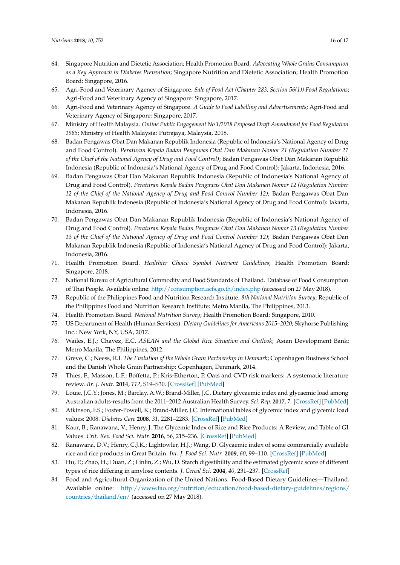- <span id="page-15-9"></span><span id="page-15-7"></span><span id="page-15-6"></span><span id="page-15-5"></span><span id="page-15-4"></span><span id="page-15-0"></span>64. Singapore Nutrition and Dietetic Association; Health Promotion Board. *Advocating Whole Grains Consumption as a Key Approach in Diabetes Prevention*; Singapore Nutrition and Dietetic Association; Health Promotion Board: Singapore, 2016.
- <span id="page-15-8"></span><span id="page-15-1"></span>65. Agri-Food and Veterinary Agency of Singapore. *Sale of Food Act (Chapter 283, Section 56(1)) Food Regulations*; Agri-Food and Veterinary Agency of Singapore: Singapore, 2017.
- <span id="page-15-2"></span>66. Agri-Food and Veterinary Agency of Singapore. *A Guide to Food Labelling and Advertisements*; Agri-Food and Veterinary Agency of Singapore: Singapore, 2017.
- <span id="page-15-12"></span><span id="page-15-3"></span>67. Ministry of Health Malaysia. *Online Public Engagement No 1/2018 Proposed Draft Amendment for Food Regulation 1985*; Ministry of Health Malaysia: Putrajaya, Malaysia, 2018.
- <span id="page-15-14"></span><span id="page-15-13"></span>68. Badan Pengawas Obat Dan Makanan Republik Indonesia (Republic of Indonesia's National Agency of Drug and Food Control). *Peraturan Kepala Badan Pengawas Obat Dan Makanan Nomor 21 (Regulation Number 21 of the Chief of the National Agency of Drug and Food Control)*; Badan Pengawas Obat Dan Makanan Republik Indonesia (Republic of Indonesia's National Agency of Drug and Food Control): Jakarta, Indonesia, 2016.
- 69. Badan Pengawas Obat Dan Makanan Republik Indonesia (Republic of Indonesia's National Agency of Drug and Food Control). *Peraturan Kepala Badan Pengawas Obat Dan Makanan Nomor 12 (Regulation Number 12 of the Chief of the National Agency of Drug and Food Control Number 12)*; Badan Pengawas Obat Dan Makanan Republik Indonesia (Republic of Indonesia's National Agency of Drug and Food Control): Jakarta, Indonesia, 2016.
- 70. Badan Pengawas Obat Dan Makanan Republik Indonesia (Republic of Indonesia's National Agency of Drug and Food Control). *Peraturan Kepala Badan Pengawas Obat Dan Makanan Nomor 13 (Regulation Number 13 of the Chief of the National Agency of Drug and Food Control Number 12)*; Badan Pengawas Obat Dan Makanan Republik Indonesia (Republic of Indonesia's National Agency of Drug and Food Control): Jakarta, Indonesia, 2016.
- 71. Health Promotion Board. *Healthier Choice Symbol Nutrient Guidelines*; Health Promotion Board: Singapore, 2018.
- <span id="page-15-10"></span>72. National Bureau of Agricultural Commodity and Food Standards of Thailand. Database of Food Consumption of Thai People. Available online: <http://consumption.acfs.go.th/index.php> (accessed on 27 May 2018).
- <span id="page-15-11"></span>73. Republic of the Philippines Food and Nutrition Research Institute. *8th National Nutrition Survey*; Republic of the Philippines Food and Nutrition Research Institute: Metro Manila, The Philippines, 2013.
- <span id="page-15-24"></span>74. Health Promotion Board. *National Nutrition Survey*; Health Promotion Board: Singapore, 2010.
- 75. US Department of Health (Human Services). *Dietary Guidelines for Americans 2015–2020*; Skyhorse Publishing Inc.: New York, NY, USA, 2017.
- <span id="page-15-15"></span>76. Wailes, E.J.; Chavez, E.C. *ASEAN and the Global Rice Situation and Outlook*; Asian Development Bank: Metro Manila, The Philippines, 2012.
- <span id="page-15-16"></span>77. Greve, C.; Neess, R.I. *The Evolution of the Whole Grain Partnership in Denmark*; Copenhagen Business School and the Danish Whole Grain Partnership: Copenhagen, Denmark, 2014.
- <span id="page-15-17"></span>78. Thies, F.; Masson, L.F.; Boffetta, P.; Kris-Etherton, P. Oats and CVD risk markers: A systematic literature review. *Br. J. Nutr.* **2014**, *112*, S19–S30. [\[CrossRef\]](http://dx.doi.org/10.1017/S0007114514002281) [\[PubMed\]](http://www.ncbi.nlm.nih.gov/pubmed/25267241)
- <span id="page-15-18"></span>79. Louie, J.C.Y.; Jones, M.; Barclay, A.W.; Brand-Miller, J.C. Dietary glycaemic index and glycaemic load among Australian adults-results from the 2011–2012 Australian Health Survey. *Sci. Rep.* **2017**, *7*. [\[CrossRef\]](http://dx.doi.org/10.1038/srep43882) [\[PubMed\]](http://www.ncbi.nlm.nih.gov/pubmed/28262812)
- <span id="page-15-19"></span>80. Atkinson, F.S.; Foster-Powell, K.; Brand-Miller, J.C. International tables of glycemic index and glycemic load values: 2008. *Diabetes Care* **2008**, *31*, 2281–2283. [\[CrossRef\]](http://dx.doi.org/10.2337/dc08-1239) [\[PubMed\]](http://www.ncbi.nlm.nih.gov/pubmed/18835944)
- <span id="page-15-20"></span>81. Kaur, B.; Ranawana, V.; Henry, J. The Glycemic Index of Rice and Rice Products: A Review, and Table of GI Values. *Crit. Rev. Food Sci. Nutr.* **2016**, *56*, 215–236. [\[CrossRef\]](http://dx.doi.org/10.1080/10408398.2012.717976) [\[PubMed\]](http://www.ncbi.nlm.nih.gov/pubmed/25590950)
- <span id="page-15-21"></span>82. Ranawana, D.V.; Henry, C.J.K.; Lightowler, H.J.; Wang, D. Glycaemic index of some commercially available rice and rice products in Great Britain. *Int. J. Food Sci. Nutr.* **2009**, *60*, 99–110. [\[CrossRef\]](http://dx.doi.org/10.1080/09637480802516191) [\[PubMed\]](http://www.ncbi.nlm.nih.gov/pubmed/19169946)
- <span id="page-15-22"></span>83. Hu, P.; Zhao, H.; Duan, Z.; Linlin, Z.; Wu, D. Starch digestibility and the estimated glycemic score of different types of rice differing in amylose contents. *J. Cereal Sci.* **2004**, *40*, 231–237. [\[CrossRef\]](http://dx.doi.org/10.1016/j.jcs.2004.06.001)
- <span id="page-15-23"></span>84. Food and Agricultural Organization of the United Nations. Food-Based Dietary Guidelines—Thailand. Available online: [http://www.fao.org/nutrition/education/food-based-dietary-guidelines/regions/](http://www.fao.org/nutrition/education/food-based-dietary-guidelines/regions/countries/thailand/en/) [countries/thailand/en/](http://www.fao.org/nutrition/education/food-based-dietary-guidelines/regions/countries/thailand/en/) (accessed on 27 May 2018).